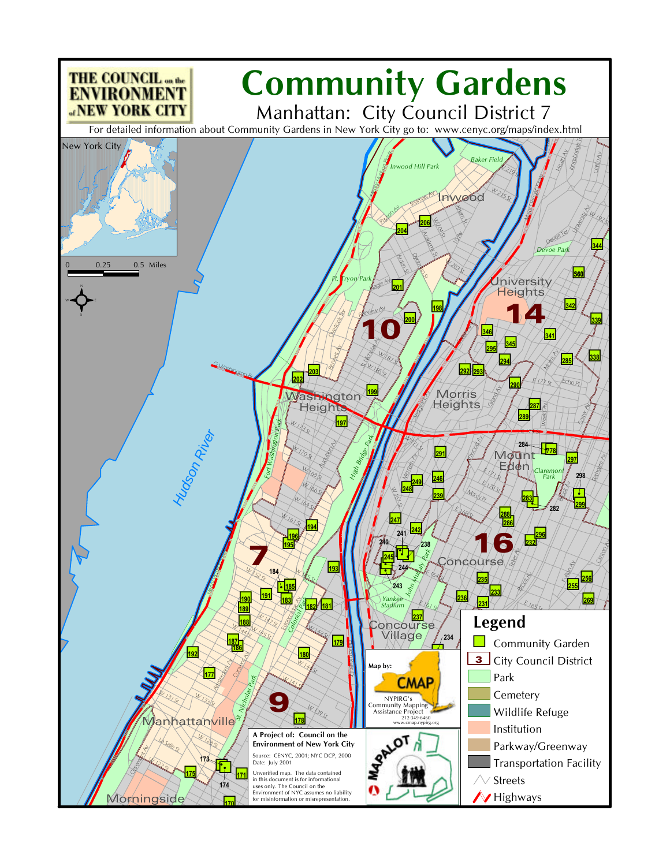